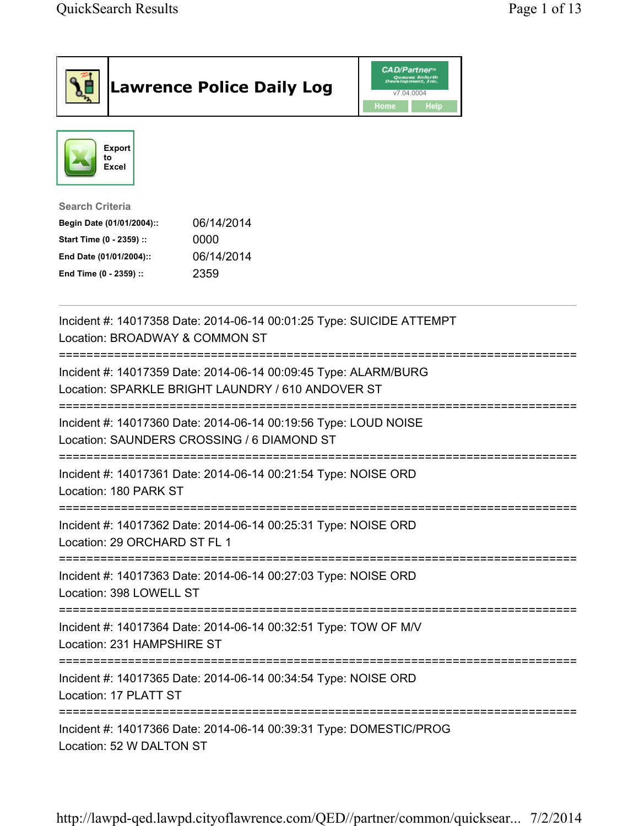|                                                                                                                                      |                          | <b>Lawrence Police Daily Log</b>                                   | <b>CAD/Partner</b> "<br>Queues Enforth<br>Development, Inc.<br>v7.04.0004<br>Home<br>Help |  |  |
|--------------------------------------------------------------------------------------------------------------------------------------|--------------------------|--------------------------------------------------------------------|-------------------------------------------------------------------------------------------|--|--|
| to                                                                                                                                   | <b>Export</b><br>Excel   |                                                                    |                                                                                           |  |  |
| <b>Search Criteria</b><br>Begin Date (01/01/2004)::<br>Start Time (0 - 2359) ::<br>End Date (01/01/2004)::<br>End Time (0 - 2359) :: |                          | 06/14/2014<br>0000<br>06/14/2014<br>2359                           |                                                                                           |  |  |
| Incident #: 14017358 Date: 2014-06-14 00:01:25 Type: SUICIDE ATTEMPT<br>Location: BROADWAY & COMMON ST                               |                          |                                                                    |                                                                                           |  |  |
| Incident #: 14017359 Date: 2014-06-14 00:09:45 Type: ALARM/BURG<br>Location: SPARKLE BRIGHT LAUNDRY / 610 ANDOVER ST                 |                          |                                                                    |                                                                                           |  |  |
| Incident #: 14017360 Date: 2014-06-14 00:19:56 Type: LOUD NOISE<br>Location: SAUNDERS CROSSING / 6 DIAMOND ST                        |                          |                                                                    |                                                                                           |  |  |
| Incident #: 14017361 Date: 2014-06-14 00:21:54 Type: NOISE ORD<br>Location: 180 PARK ST                                              |                          |                                                                    |                                                                                           |  |  |
| Incident #: 14017362 Date: 2014-06-14 00:25:31 Type: NOISE ORD<br>Location: 29 ORCHARD ST FL 1                                       |                          |                                                                    |                                                                                           |  |  |
| ======================================<br>Incident #: 14017363 Date: 2014-06-14 00:27:03 Type: NOISE ORD<br>Location: 398 LOWELL ST  |                          |                                                                    |                                                                                           |  |  |
| Incident #: 14017364 Date: 2014-06-14 00:32:51 Type: TOW OF M/V<br>Location: 231 HAMPSHIRE ST                                        |                          |                                                                    |                                                                                           |  |  |
| Incident #: 14017365 Date: 2014-06-14 00:34:54 Type: NOISE ORD<br>Location: 17 PLATT ST                                              |                          |                                                                    |                                                                                           |  |  |
|                                                                                                                                      | Location: 52 W DALTON ST | Incident #: 14017366 Date: 2014-06-14 00:39:31 Type: DOMESTIC/PROG |                                                                                           |  |  |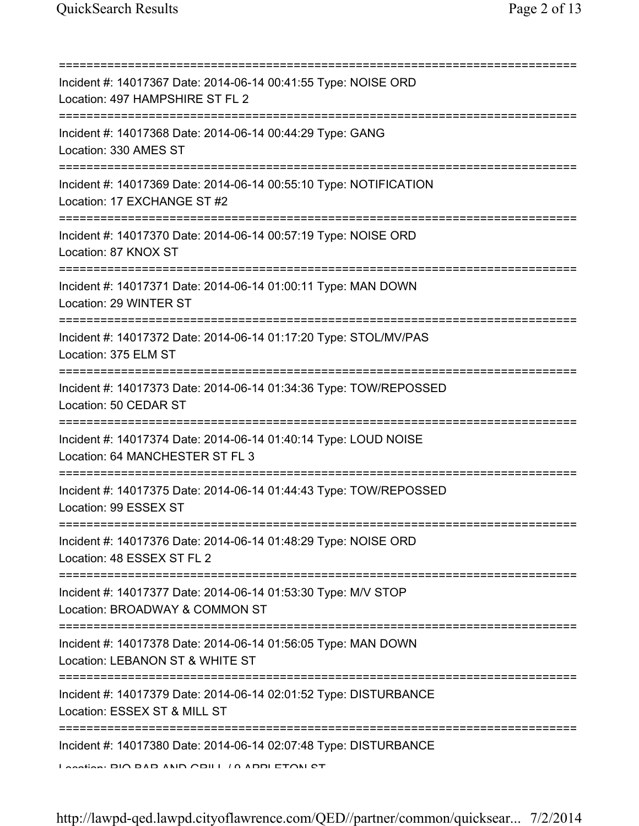| Incident #: 14017367 Date: 2014-06-14 00:41:55 Type: NOISE ORD<br>Location: 497 HAMPSHIRE ST FL 2                                        |
|------------------------------------------------------------------------------------------------------------------------------------------|
| Incident #: 14017368 Date: 2014-06-14 00:44:29 Type: GANG<br>Location: 330 AMES ST                                                       |
| Incident #: 14017369 Date: 2014-06-14 00:55:10 Type: NOTIFICATION<br>Location: 17 EXCHANGE ST #2<br>==================================== |
| Incident #: 14017370 Date: 2014-06-14 00:57:19 Type: NOISE ORD<br>Location: 87 KNOX ST                                                   |
| Incident #: 14017371 Date: 2014-06-14 01:00:11 Type: MAN DOWN<br>Location: 29 WINTER ST                                                  |
| Incident #: 14017372 Date: 2014-06-14 01:17:20 Type: STOL/MV/PAS<br>Location: 375 ELM ST                                                 |
| Incident #: 14017373 Date: 2014-06-14 01:34:36 Type: TOW/REPOSSED<br>Location: 50 CEDAR ST                                               |
| Incident #: 14017374 Date: 2014-06-14 01:40:14 Type: LOUD NOISE<br>Location: 64 MANCHESTER ST FL 3                                       |
| Incident #: 14017375 Date: 2014-06-14 01:44:43 Type: TOW/REPOSSED<br>Location: 99 ESSEX ST                                               |
| Incident #: 14017376 Date: 2014-06-14 01:48:29 Type: NOISE ORD<br>Location: 48 ESSEX ST FL 2                                             |
| ======================<br>Incident #: 14017377 Date: 2014-06-14 01:53:30 Type: M/V STOP<br>Location: BROADWAY & COMMON ST                |
| ================================<br>Incident #: 14017378 Date: 2014-06-14 01:56:05 Type: MAN DOWN<br>Location: LEBANON ST & WHITE ST     |
| Incident #: 14017379 Date: 2014-06-14 02:01:52 Type: DISTURBANCE<br>Location: ESSEX ST & MILL ST                                         |
| Incident #: 14017380 Date: 2014-06-14 02:07:48 Type: DISTURBANCE<br>Lootion: DIO DAD AND ODILL / A ADDI ETONI OT                         |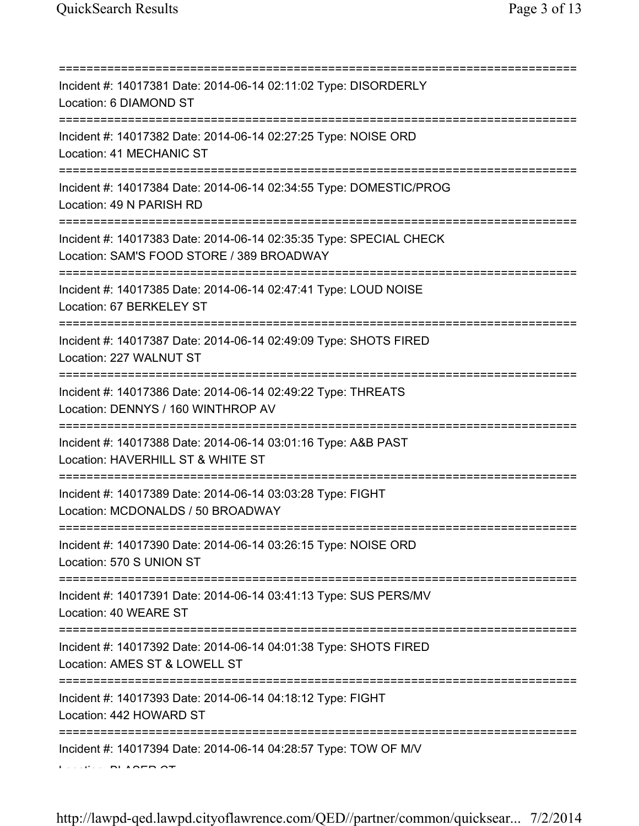| Incident #: 14017381 Date: 2014-06-14 02:11:02 Type: DISORDERLY<br>Location: 6 DIAMOND ST                                               |
|-----------------------------------------------------------------------------------------------------------------------------------------|
| Incident #: 14017382 Date: 2014-06-14 02:27:25 Type: NOISE ORD<br>Location: 41 MECHANIC ST                                              |
| Incident #: 14017384 Date: 2014-06-14 02:34:55 Type: DOMESTIC/PROG<br>Location: 49 N PARISH RD<br>===================================== |
| Incident #: 14017383 Date: 2014-06-14 02:35:35 Type: SPECIAL CHECK<br>Location: SAM'S FOOD STORE / 389 BROADWAY                         |
| Incident #: 14017385 Date: 2014-06-14 02:47:41 Type: LOUD NOISE<br>Location: 67 BERKELEY ST                                             |
| Incident #: 14017387 Date: 2014-06-14 02:49:09 Type: SHOTS FIRED<br>Location: 227 WALNUT ST                                             |
| Incident #: 14017386 Date: 2014-06-14 02:49:22 Type: THREATS<br>Location: DENNYS / 160 WINTHROP AV                                      |
| Incident #: 14017388 Date: 2014-06-14 03:01:16 Type: A&B PAST<br>Location: HAVERHILL ST & WHITE ST                                      |
| Incident #: 14017389 Date: 2014-06-14 03:03:28 Type: FIGHT<br>Location: MCDONALDS / 50 BROADWAY                                         |
| Incident #: 14017390 Date: 2014-06-14 03:26:15 Type: NOISE ORD<br>Location: 570 S UNION ST                                              |
| Incident #: 14017391 Date: 2014-06-14 03:41:13 Type: SUS PERS/MV<br>Location: 40 WEARE ST                                               |
| Incident #: 14017392 Date: 2014-06-14 04:01:38 Type: SHOTS FIRED<br>Location: AMES ST & LOWELL ST                                       |
| =============<br>Incident #: 14017393 Date: 2014-06-14 04:18:12 Type: FIGHT<br>Location: 442 HOWARD ST                                  |
| Incident #: 14017394 Date: 2014-06-14 04:28:57 Type: TOW OF M/V                                                                         |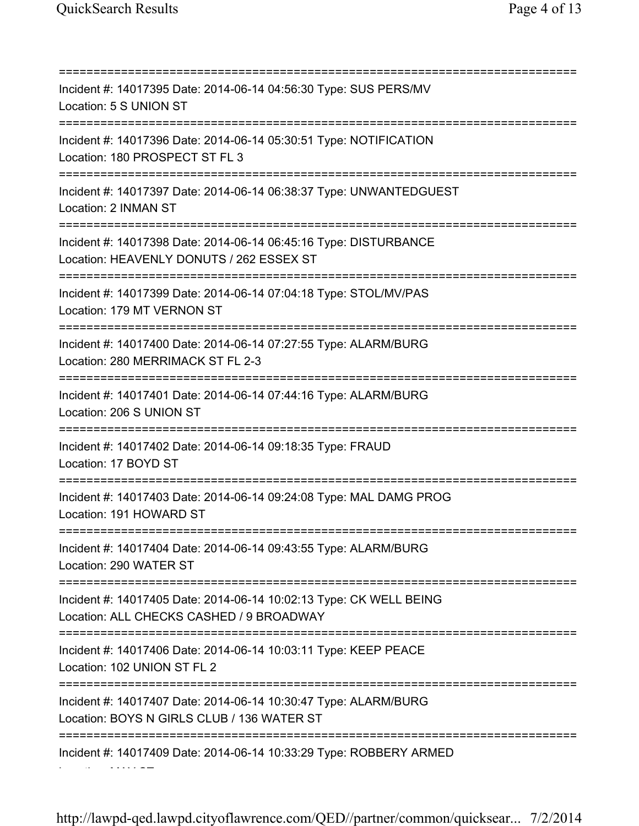=========================================================================== Incident #: 14017395 Date: 2014-06-14 04:56:30 Type: SUS PERS/MV Location: 5 S UNION ST =========================================================================== Incident #: 14017396 Date: 2014-06-14 05:30:51 Type: NOTIFICATION Location: 180 PROSPECT ST FL 3 =========================================================================== Incident #: 14017397 Date: 2014-06-14 06:38:37 Type: UNWANTEDGUEST Location: 2 INMAN ST =========================================================================== Incident #: 14017398 Date: 2014-06-14 06:45:16 Type: DISTURBANCE Location: HEAVENLY DONUTS / 262 ESSEX ST =========================================================================== Incident #: 14017399 Date: 2014-06-14 07:04:18 Type: STOL/MV/PAS Location: 179 MT VERNON ST =========================================================================== Incident #: 14017400 Date: 2014-06-14 07:27:55 Type: ALARM/BURG Location: 280 MERRIMACK ST FL 2-3 =========================================================================== Incident #: 14017401 Date: 2014-06-14 07:44:16 Type: ALARM/BURG Location: 206 S UNION ST =========================================================================== Incident #: 14017402 Date: 2014-06-14 09:18:35 Type: FRAUD Location: 17 BOYD ST =========================================================================== Incident #: 14017403 Date: 2014-06-14 09:24:08 Type: MAL DAMG PROG Location: 191 HOWARD ST =========================================================================== Incident #: 14017404 Date: 2014-06-14 09:43:55 Type: ALARM/BURG Location: 290 WATER ST =========================================================================== Incident #: 14017405 Date: 2014-06-14 10:02:13 Type: CK WELL BEING Location: ALL CHECKS CASHED / 9 BROADWAY =========================================================================== Incident #: 14017406 Date: 2014-06-14 10:03:11 Type: KEEP PEACE Location: 102 UNION ST FL 2 =========================================================================== Incident #: 14017407 Date: 2014-06-14 10:30:47 Type: ALARM/BURG Location: BOYS N GIRLS CLUB / 136 WATER ST =========================================================================== Incident #: 14017409 Date: 2014-06-14 10:33:29 Type: ROBBERY ARMED Location: MAY ST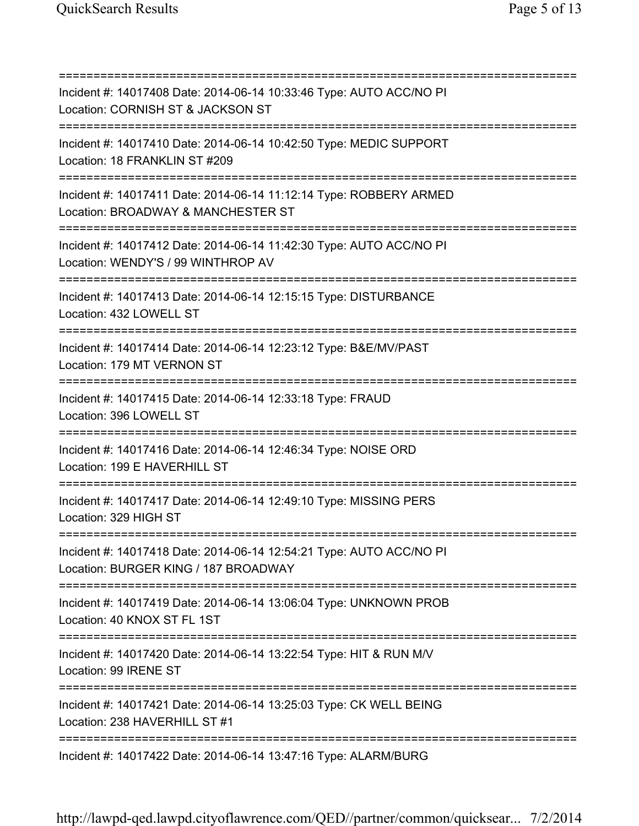=========================================================================== Incident #: 14017408 Date: 2014-06-14 10:33:46 Type: AUTO ACC/NO PI Location: CORNISH ST & JACKSON ST =========================================================================== Incident #: 14017410 Date: 2014-06-14 10:42:50 Type: MEDIC SUPPORT Location: 18 FRANKLIN ST #209 =========================================================================== Incident #: 14017411 Date: 2014-06-14 11:12:14 Type: ROBBERY ARMED Location: BROADWAY & MANCHESTER ST =========================================================================== Incident #: 14017412 Date: 2014-06-14 11:42:30 Type: AUTO ACC/NO PI Location: WENDY'S / 99 WINTHROP AV =========================================================================== Incident #: 14017413 Date: 2014-06-14 12:15:15 Type: DISTURBANCE Location: 432 LOWELL ST =========================================================================== Incident #: 14017414 Date: 2014-06-14 12:23:12 Type: B&E/MV/PAST Location: 179 MT VERNON ST =========================================================================== Incident #: 14017415 Date: 2014-06-14 12:33:18 Type: FRAUD Location: 396 LOWELL ST =========================================================================== Incident #: 14017416 Date: 2014-06-14 12:46:34 Type: NOISE ORD Location: 199 E HAVERHILL ST =========================================================================== Incident #: 14017417 Date: 2014-06-14 12:49:10 Type: MISSING PERS Location: 329 HIGH ST =========================================================================== Incident #: 14017418 Date: 2014-06-14 12:54:21 Type: AUTO ACC/NO PI Location: BURGER KING / 187 BROADWAY =========================================================================== Incident #: 14017419 Date: 2014-06-14 13:06:04 Type: UNKNOWN PROB Location: 40 KNOX ST FL 1ST =========================================================================== Incident #: 14017420 Date: 2014-06-14 13:22:54 Type: HIT & RUN M/V Location: 99 IRENE ST =========================================================================== Incident #: 14017421 Date: 2014-06-14 13:25:03 Type: CK WELL BEING Location: 238 HAVERHILL ST #1 =========================================================================== Incident #: 14017422 Date: 2014-06-14 13:47:16 Type: ALARM/BURG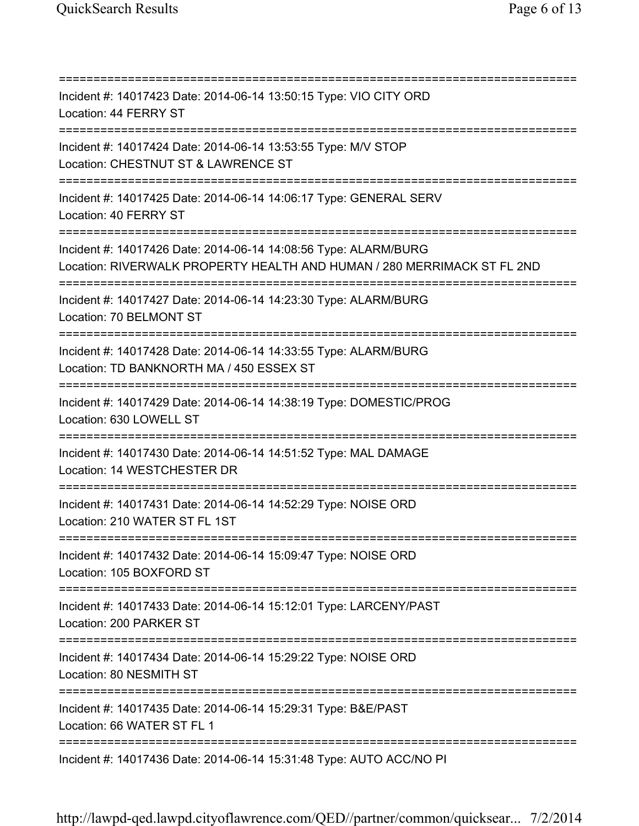=========================================================================== Incident #: 14017423 Date: 2014-06-14 13:50:15 Type: VIO CITY ORD Location: 44 FERRY ST =========================================================================== Incident #: 14017424 Date: 2014-06-14 13:53:55 Type: M/V STOP Location: CHESTNUT ST & LAWRENCE ST =========================================================================== Incident #: 14017425 Date: 2014-06-14 14:06:17 Type: GENERAL SERV Location: 40 FERRY ST =========================================================================== Incident #: 14017426 Date: 2014-06-14 14:08:56 Type: ALARM/BURG Location: RIVERWALK PROPERTY HEALTH AND HUMAN / 280 MERRIMACK ST FL 2ND =========================================================================== Incident #: 14017427 Date: 2014-06-14 14:23:30 Type: ALARM/BURG Location: 70 BELMONT ST =========================================================================== Incident #: 14017428 Date: 2014-06-14 14:33:55 Type: ALARM/BURG Location: TD BANKNORTH MA / 450 ESSEX ST =========================================================================== Incident #: 14017429 Date: 2014-06-14 14:38:19 Type: DOMESTIC/PROG Location: 630 LOWELL ST =========================================================================== Incident #: 14017430 Date: 2014-06-14 14:51:52 Type: MAL DAMAGE Location: 14 WESTCHESTER DR =========================================================================== Incident #: 14017431 Date: 2014-06-14 14:52:29 Type: NOISE ORD Location: 210 WATER ST FL 1ST =========================================================================== Incident #: 14017432 Date: 2014-06-14 15:09:47 Type: NOISE ORD Location: 105 BOXFORD ST =========================================================================== Incident #: 14017433 Date: 2014-06-14 15:12:01 Type: LARCENY/PAST Location: 200 PARKER ST =========================================================================== Incident #: 14017434 Date: 2014-06-14 15:29:22 Type: NOISE ORD Location: 80 NESMITH ST =========================================================================== Incident #: 14017435 Date: 2014-06-14 15:29:31 Type: B&E/PAST Location: 66 WATER ST FL 1 =========================================================================== Incident #: 14017436 Date: 2014-06-14 15:31:48 Type: AUTO ACC/NO PI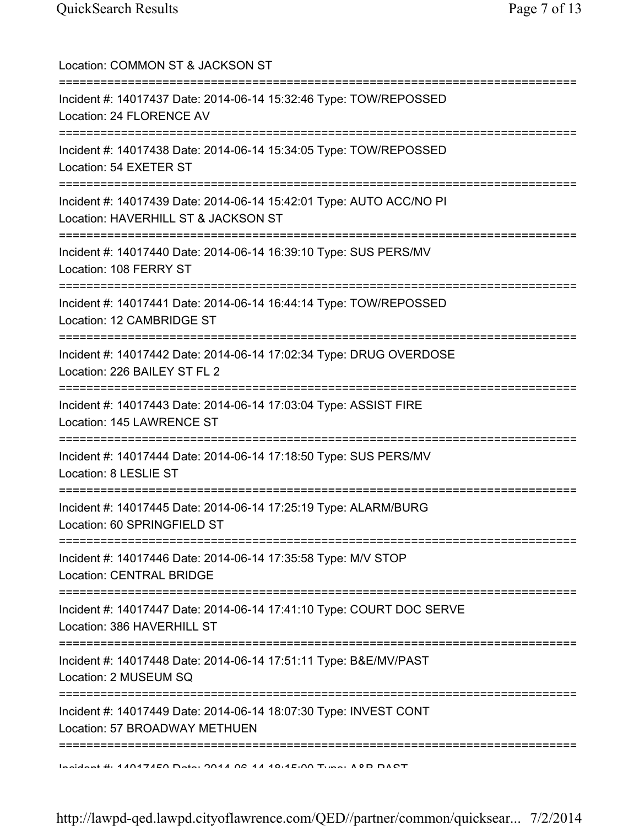| Location: COMMON ST & JACKSON ST                                                                                                   |
|------------------------------------------------------------------------------------------------------------------------------------|
| Incident #: 14017437 Date: 2014-06-14 15:32:46 Type: TOW/REPOSSED<br>Location: 24 FLORENCE AV                                      |
| Incident #: 14017438 Date: 2014-06-14 15:34:05 Type: TOW/REPOSSED<br>Location: 54 EXETER ST                                        |
| Incident #: 14017439 Date: 2014-06-14 15:42:01 Type: AUTO ACC/NO PI<br>Location: HAVERHILL ST & JACKSON ST                         |
| Incident #: 14017440 Date: 2014-06-14 16:39:10 Type: SUS PERS/MV<br>Location: 108 FERRY ST                                         |
| ================================<br>Incident #: 14017441 Date: 2014-06-14 16:44:14 Type: TOW/REPOSSED<br>Location: 12 CAMBRIDGE ST |
| Incident #: 14017442 Date: 2014-06-14 17:02:34 Type: DRUG OVERDOSE<br>Location: 226 BAILEY ST FL 2                                 |
| Incident #: 14017443 Date: 2014-06-14 17:03:04 Type: ASSIST FIRE<br>Location: 145 LAWRENCE ST                                      |
| Incident #: 14017444 Date: 2014-06-14 17:18:50 Type: SUS PERS/MV<br>Location: 8 LESLIE ST                                          |
| Incident #: 14017445 Date: 2014-06-14 17:25:19 Type: ALARM/BURG<br>Location: 60 SPRINGFIELD ST                                     |
| Incident #: 14017446 Date: 2014-06-14 17:35:58 Type: M/V STOP<br><b>Location: CENTRAL BRIDGE</b>                                   |
| Incident #: 14017447 Date: 2014-06-14 17:41:10 Type: COURT DOC SERVE<br>Location: 386 HAVERHILL ST                                 |
| Incident #: 14017448 Date: 2014-06-14 17:51:11 Type: B&E/MV/PAST<br>Location: 2 MUSEUM SQ                                          |
| Incident #: 14017449 Date: 2014-06-14 18:07:30 Type: INVEST CONT<br>Location: 57 BROADWAY METHUEN                                  |
| Indident # 4 1047150 Data: 0041 06 41 10.45.00 Tune: 10 D DACT                                                                     |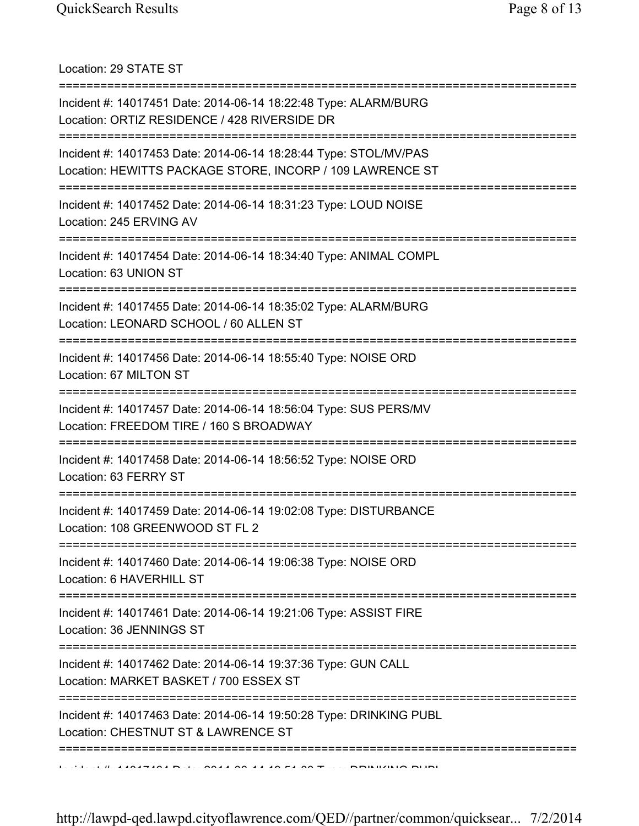Location: 29 STATE ST

| Incident #: 14017451 Date: 2014-06-14 18:22:48 Type: ALARM/BURG<br>Location: ORTIZ RESIDENCE / 428 RIVERSIDE DR               |
|-------------------------------------------------------------------------------------------------------------------------------|
| Incident #: 14017453 Date: 2014-06-14 18:28:44 Type: STOL/MV/PAS<br>Location: HEWITTS PACKAGE STORE, INCORP / 109 LAWRENCE ST |
| Incident #: 14017452 Date: 2014-06-14 18:31:23 Type: LOUD NOISE<br>Location: 245 ERVING AV                                    |
| Incident #: 14017454 Date: 2014-06-14 18:34:40 Type: ANIMAL COMPL<br>Location: 63 UNION ST                                    |
| Incident #: 14017455 Date: 2014-06-14 18:35:02 Type: ALARM/BURG<br>Location: LEONARD SCHOOL / 60 ALLEN ST                     |
| Incident #: 14017456 Date: 2014-06-14 18:55:40 Type: NOISE ORD<br>Location: 67 MILTON ST                                      |
| Incident #: 14017457 Date: 2014-06-14 18:56:04 Type: SUS PERS/MV<br>Location: FREEDOM TIRE / 160 S BROADWAY                   |
| Incident #: 14017458 Date: 2014-06-14 18:56:52 Type: NOISE ORD<br>Location: 63 FERRY ST                                       |
| Incident #: 14017459 Date: 2014-06-14 19:02:08 Type: DISTURBANCE<br>Location: 108 GREENWOOD ST FL 2                           |
| Incident #: 14017460 Date: 2014-06-14 19:06:38 Type: NOISE ORD<br>Location: 6 HAVERHILL ST                                    |
| Incident #: 14017461 Date: 2014-06-14 19:21:06 Type: ASSIST FIRE<br>Location: 36 JENNINGS ST                                  |
| Incident #: 14017462 Date: 2014-06-14 19:37:36 Type: GUN CALL<br>Location: MARKET BASKET / 700 ESSEX ST                       |
| Incident #: 14017463 Date: 2014-06-14 19:50:28 Type: DRINKING PUBL<br>Location: CHESTNUT ST & LAWRENCE ST                     |
|                                                                                                                               |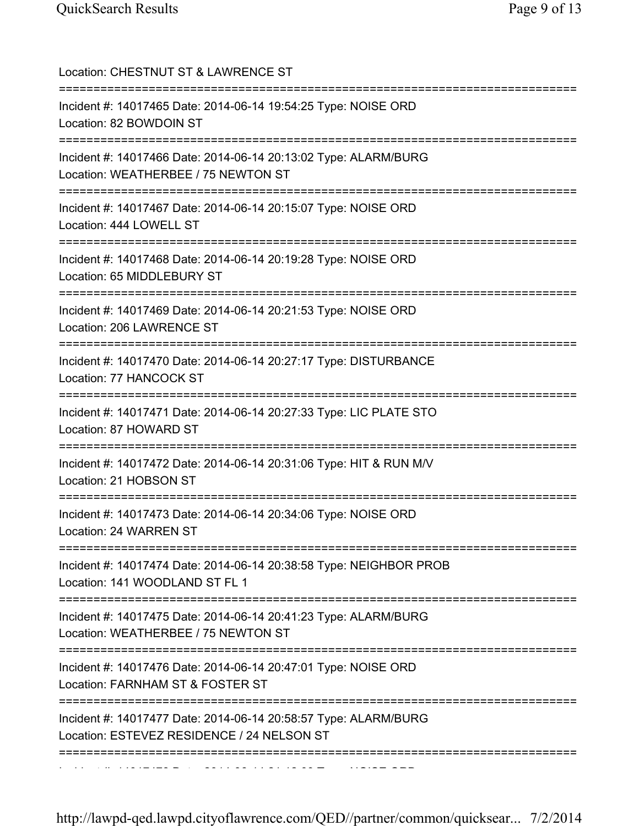| Location: CHESTNUT ST & LAWRENCE ST<br>================================                                                                                      |
|--------------------------------------------------------------------------------------------------------------------------------------------------------------|
| Incident #: 14017465 Date: 2014-06-14 19:54:25 Type: NOISE ORD<br>Location: 82 BOWDOIN ST<br>==================================                              |
| Incident #: 14017466 Date: 2014-06-14 20:13:02 Type: ALARM/BURG<br>Location: WEATHERBEE / 75 NEWTON ST<br>===========================<br>=================== |
| Incident #: 14017467 Date: 2014-06-14 20:15:07 Type: NOISE ORD<br>Location: 444 LOWELL ST                                                                    |
| Incident #: 14017468 Date: 2014-06-14 20:19:28 Type: NOISE ORD<br>Location: 65 MIDDLEBURY ST                                                                 |
| Incident #: 14017469 Date: 2014-06-14 20:21:53 Type: NOISE ORD<br>Location: 206 LAWRENCE ST                                                                  |
| Incident #: 14017470 Date: 2014-06-14 20:27:17 Type: DISTURBANCE<br>Location: 77 HANCOCK ST                                                                  |
| ======================================<br>Incident #: 14017471 Date: 2014-06-14 20:27:33 Type: LIC PLATE STO<br>Location: 87 HOWARD ST                       |
| Incident #: 14017472 Date: 2014-06-14 20:31:06 Type: HIT & RUN M/V<br>Location: 21 HOBSON ST                                                                 |
| Incident #: 14017473 Date: 2014-06-14 20:34:06 Type: NOISE ORD<br>Location: 24 WARREN ST                                                                     |
| =====================<br>Incident #: 14017474 Date: 2014-06-14 20:38:58 Type: NEIGHBOR PROB<br>Location: 141 WOODLAND ST FL 1                                |
| Incident #: 14017475 Date: 2014-06-14 20:41:23 Type: ALARM/BURG<br>Location: WEATHERBEE / 75 NEWTON ST                                                       |
| Incident #: 14017476 Date: 2014-06-14 20:47:01 Type: NOISE ORD<br>Location: FARNHAM ST & FOSTER ST                                                           |
| =========<br>Incident #: 14017477 Date: 2014-06-14 20:58:57 Type: ALARM/BURG<br>Location: ESTEVEZ RESIDENCE / 24 NELSON ST                                   |
|                                                                                                                                                              |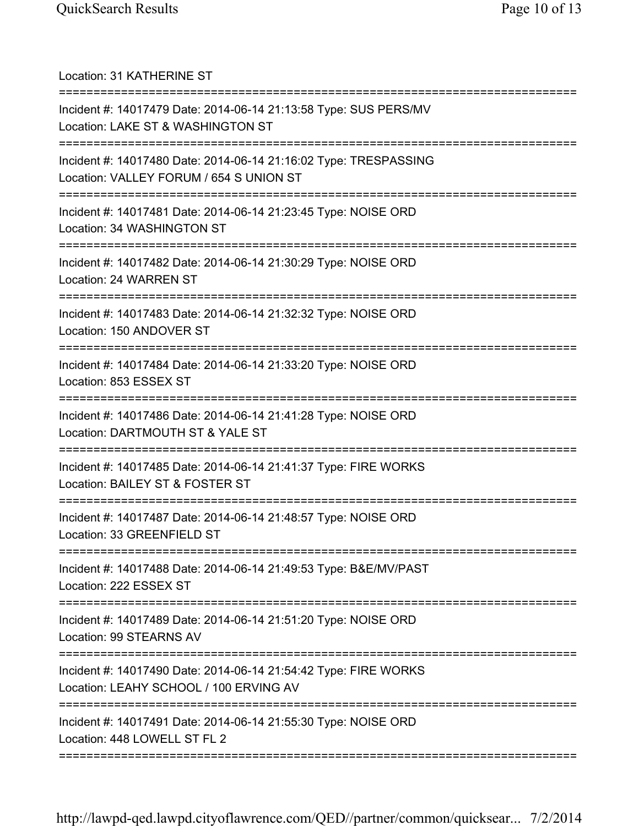Location: 31 KATHERINE ST =========================================================================== Incident #: 14017479 Date: 2014-06-14 21:13:58 Type: SUS PERS/MV Location: LAKE ST & WASHINGTON ST =========================================================================== Incident #: 14017480 Date: 2014-06-14 21:16:02 Type: TRESPASSING Location: VALLEY FORUM / 654 S UNION ST =========================================================================== Incident #: 14017481 Date: 2014-06-14 21:23:45 Type: NOISE ORD Location: 34 WASHINGTON ST =========================================================================== Incident #: 14017482 Date: 2014-06-14 21:30:29 Type: NOISE ORD Location: 24 WARREN ST =========================================================================== Incident #: 14017483 Date: 2014-06-14 21:32:32 Type: NOISE ORD Location: 150 ANDOVER ST =========================================================================== Incident #: 14017484 Date: 2014-06-14 21:33:20 Type: NOISE ORD Location: 853 ESSEX ST =========================================================================== Incident #: 14017486 Date: 2014-06-14 21:41:28 Type: NOISE ORD Location: DARTMOUTH ST & YALE ST =========================================================================== Incident #: 14017485 Date: 2014-06-14 21:41:37 Type: FIRE WORKS Location: BAILEY ST & FOSTER ST =========================================================================== Incident #: 14017487 Date: 2014-06-14 21:48:57 Type: NOISE ORD Location: 33 GREENFIELD ST =========================================================================== Incident #: 14017488 Date: 2014-06-14 21:49:53 Type: B&E/MV/PAST Location: 222 ESSEX ST =========================================================================== Incident #: 14017489 Date: 2014-06-14 21:51:20 Type: NOISE ORD Location: 99 STEARNS AV =========================================================================== Incident #: 14017490 Date: 2014-06-14 21:54:42 Type: FIRE WORKS Location: LEAHY SCHOOL / 100 ERVING AV =========================================================================== Incident #: 14017491 Date: 2014-06-14 21:55:30 Type: NOISE ORD Location: 448 LOWELL ST FL 2 ===========================================================================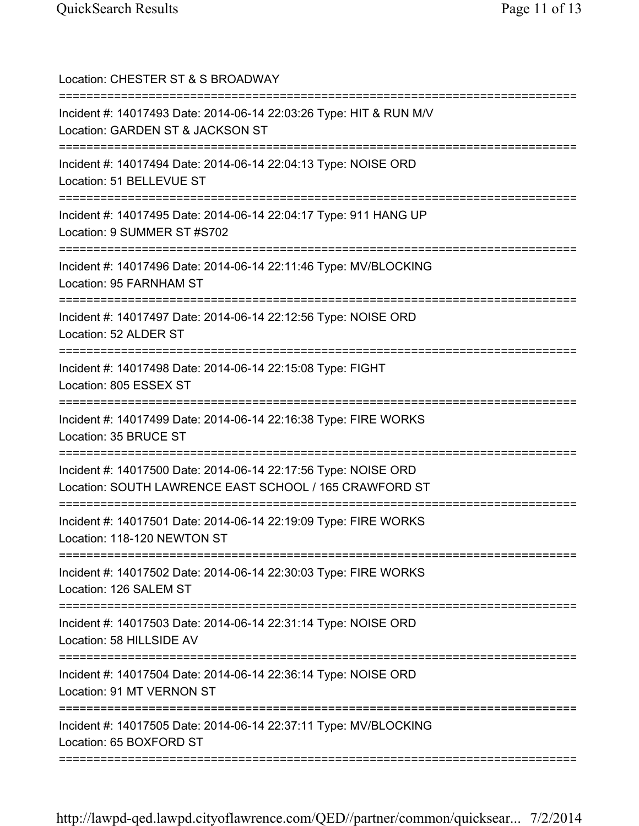| Location: CHESTER ST & S BROADWAY<br>==============================                                                                     |
|-----------------------------------------------------------------------------------------------------------------------------------------|
| Incident #: 14017493 Date: 2014-06-14 22:03:26 Type: HIT & RUN M/V<br>Location: GARDEN ST & JACKSON ST<br>===========================   |
| Incident #: 14017494 Date: 2014-06-14 22:04:13 Type: NOISE ORD<br>Location: 51 BELLEVUE ST                                              |
| Incident #: 14017495 Date: 2014-06-14 22:04:17 Type: 911 HANG UP<br>Location: 9 SUMMER ST #S702<br>==================================== |
| Incident #: 14017496 Date: 2014-06-14 22:11:46 Type: MV/BLOCKING<br>Location: 95 FARNHAM ST                                             |
| Incident #: 14017497 Date: 2014-06-14 22:12:56 Type: NOISE ORD<br>Location: 52 ALDER ST                                                 |
| ================================<br>Incident #: 14017498 Date: 2014-06-14 22:15:08 Type: FIGHT<br>Location: 805 ESSEX ST                |
| Incident #: 14017499 Date: 2014-06-14 22:16:38 Type: FIRE WORKS<br>Location: 35 BRUCE ST                                                |
| Incident #: 14017500 Date: 2014-06-14 22:17:56 Type: NOISE ORD<br>Location: SOUTH LAWRENCE EAST SCHOOL / 165 CRAWFORD ST                |
| Incident #: 14017501 Date: 2014-06-14 22:19:09 Type: FIRE WORKS<br>Location: 118-120 NEWTON ST                                          |
| Incident #: 14017502 Date: 2014-06-14 22:30:03 Type: FIRE WORKS<br>Location: 126 SALEM ST                                               |
| Incident #: 14017503 Date: 2014-06-14 22:31:14 Type: NOISE ORD<br>Location: 58 HILLSIDE AV                                              |
| Incident #: 14017504 Date: 2014-06-14 22:36:14 Type: NOISE ORD<br>Location: 91 MT VERNON ST                                             |
| :=========<br>Incident #: 14017505 Date: 2014-06-14 22:37:11 Type: MV/BLOCKING<br>Location: 65 BOXFORD ST                               |
|                                                                                                                                         |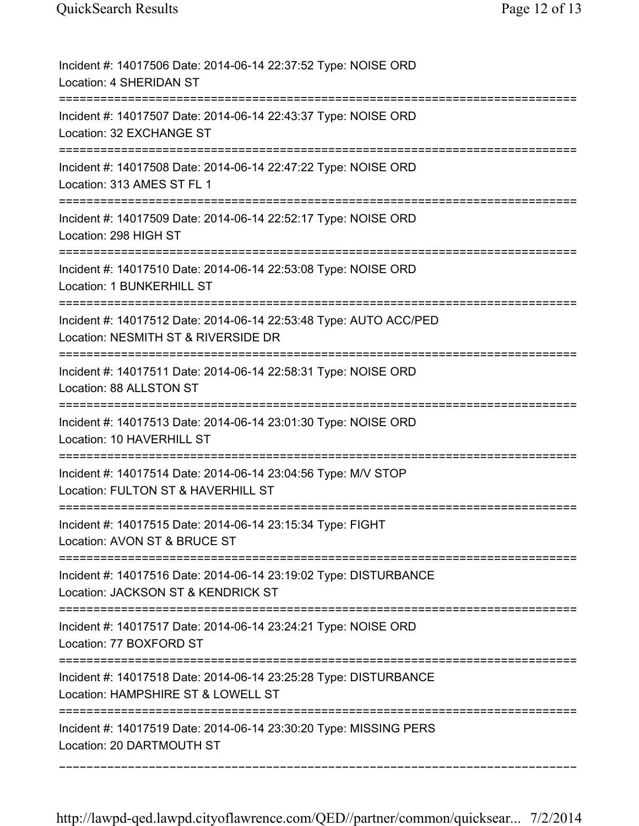| Incident #: 14017506 Date: 2014-06-14 22:37:52 Type: NOISE ORD<br>Location: 4 SHERIDAN ST                                           |
|-------------------------------------------------------------------------------------------------------------------------------------|
| Incident #: 14017507 Date: 2014-06-14 22:43:37 Type: NOISE ORD<br>Location: 32 EXCHANGE ST                                          |
| Incident #: 14017508 Date: 2014-06-14 22:47:22 Type: NOISE ORD<br>Location: 313 AMES ST FL 1                                        |
| Incident #: 14017509 Date: 2014-06-14 22:52:17 Type: NOISE ORD<br>Location: 298 HIGH ST                                             |
| Incident #: 14017510 Date: 2014-06-14 22:53:08 Type: NOISE ORD<br>Location: 1 BUNKERHILL ST                                         |
| Incident #: 14017512 Date: 2014-06-14 22:53:48 Type: AUTO ACC/PED<br>Location: NESMITH ST & RIVERSIDE DR                            |
| Incident #: 14017511 Date: 2014-06-14 22:58:31 Type: NOISE ORD<br>Location: 88 ALLSTON ST                                           |
| Incident #: 14017513 Date: 2014-06-14 23:01:30 Type: NOISE ORD<br>Location: 10 HAVERHILL ST<br>------------------------------------ |
| Incident #: 14017514 Date: 2014-06-14 23:04:56 Type: M/V STOP<br>Location: FULTON ST & HAVERHILL ST                                 |
| Incident #: 14017515 Date: 2014-06-14 23:15:34 Type: FIGHT<br>Location: AVON ST & BRUCE ST                                          |
| Incident #: 14017516 Date: 2014-06-14 23:19:02 Type: DISTURBANCE<br>Location: JACKSON ST & KENDRICK ST                              |
| Incident #: 14017517 Date: 2014-06-14 23:24:21 Type: NOISE ORD<br>Location: 77 BOXFORD ST                                           |
| Incident #: 14017518 Date: 2014-06-14 23:25:28 Type: DISTURBANCE<br>Location: HAMPSHIRE ST & LOWELL ST                              |
| Incident #: 14017519 Date: 2014-06-14 23:30:20 Type: MISSING PERS<br>Location: 20 DARTMOUTH ST                                      |

===========================================================================